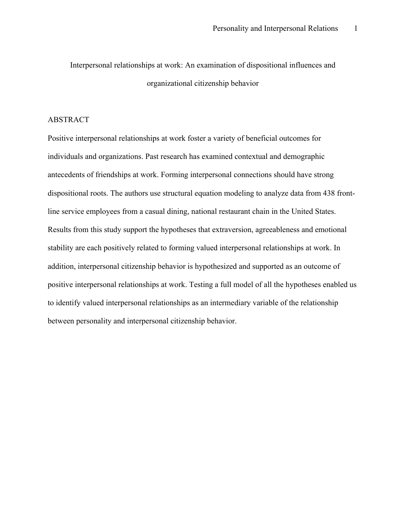Interpersonal relationships at work: An examination of dispositional influences and organizational citizenship behavior

## ABSTRACT

Positive interpersonal relationships at work foster a variety of beneficial outcomes for individuals and organizations. Past research has examined contextual and demographic antecedents of friendships at work. Forming interpersonal connections should have strong dispositional roots. The authors use structural equation modeling to analyze data from 438 frontline service employees from a casual dining, national restaurant chain in the United States. Results from this study support the hypotheses that extraversion, agreeableness and emotional stability are each positively related to forming valued interpersonal relationships at work. In addition, interpersonal citizenship behavior is hypothesized and supported as an outcome of positive interpersonal relationships at work. Testing a full model of all the hypotheses enabled us to identify valued interpersonal relationships as an intermediary variable of the relationship between personality and interpersonal citizenship behavior.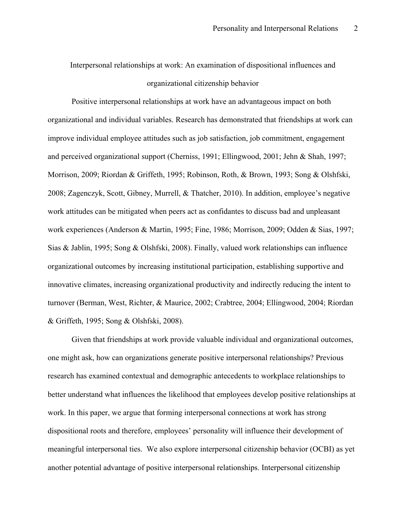Interpersonal relationships at work: An examination of dispositional influences and organizational citizenship behavior

Positive interpersonal relationships at work have an advantageous impact on both organizational and individual variables. Research has demonstrated that friendships at work can improve individual employee attitudes such as job satisfaction, job commitment, engagement and perceived organizational support (Cherniss, 1991; Ellingwood, 2001; Jehn & Shah, 1997; Morrison, 2009; Riordan & Griffeth, 1995; Robinson, Roth, & Brown, 1993; Song & Olshfski, 2008; Zagenczyk, Scott, Gibney, Murrell, & Thatcher, 2010). In addition, employee's negative work attitudes can be mitigated when peers act as confidantes to discuss bad and unpleasant work experiences (Anderson & Martin, 1995; Fine, 1986; Morrison, 2009; Odden & Sias, 1997; Sias & Jablin, 1995; Song & Olshfski, 2008). Finally, valued work relationships can influence organizational outcomes by increasing institutional participation, establishing supportive and innovative climates, increasing organizational productivity and indirectly reducing the intent to turnover (Berman, West, Richter, & Maurice, 2002; Crabtree, 2004; Ellingwood, 2004; Riordan & Griffeth, 1995; Song & Olshfski, 2008).

Given that friendships at work provide valuable individual and organizational outcomes, one might ask, how can organizations generate positive interpersonal relationships? Previous research has examined contextual and demographic antecedents to workplace relationships to better understand what influences the likelihood that employees develop positive relationships at work. In this paper, we argue that forming interpersonal connections at work has strong dispositional roots and therefore, employees' personality will influence their development of meaningful interpersonal ties. We also explore interpersonal citizenship behavior (OCBI) as yet another potential advantage of positive interpersonal relationships. Interpersonal citizenship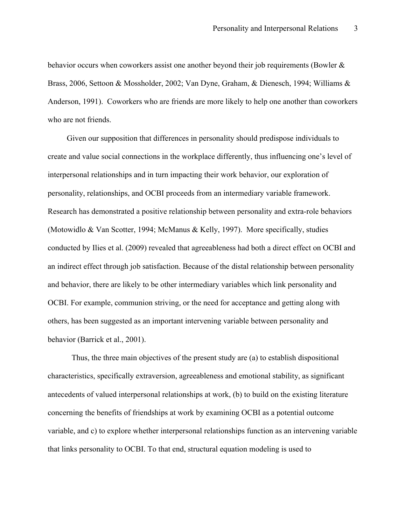behavior occurs when coworkers assist one another beyond their job requirements (Bowler & Brass, 2006, Settoon & Mossholder, 2002; Van Dyne, Graham, & Dienesch, 1994; Williams & Anderson, 1991). Coworkers who are friends are more likely to help one another than coworkers who are not friends.

Given our supposition that differences in personality should predispose individuals to create and value social connections in the workplace differently, thus influencing one's level of interpersonal relationships and in turn impacting their work behavior, our exploration of personality, relationships, and OCBI proceeds from an intermediary variable framework. Research has demonstrated a positive relationship between personality and extra-role behaviors (Motowidlo & Van Scotter, 1994; McManus & Kelly, 1997). More specifically, studies conducted by Ilies et al. (2009) revealed that agreeableness had both a direct effect on OCBI and an indirect effect through job satisfaction. Because of the distal relationship between personality and behavior, there are likely to be other intermediary variables which link personality and OCBI. For example, communion striving, or the need for acceptance and getting along with others, has been suggested as an important intervening variable between personality and behavior (Barrick et al., 2001).

Thus, the three main objectives of the present study are (a) to establish dispositional characteristics, specifically extraversion, agreeableness and emotional stability, as significant antecedents of valued interpersonal relationships at work, (b) to build on the existing literature concerning the benefits of friendships at work by examining OCBI as a potential outcome variable, and c) to explore whether interpersonal relationships function as an intervening variable that links personality to OCBI. To that end, structural equation modeling is used to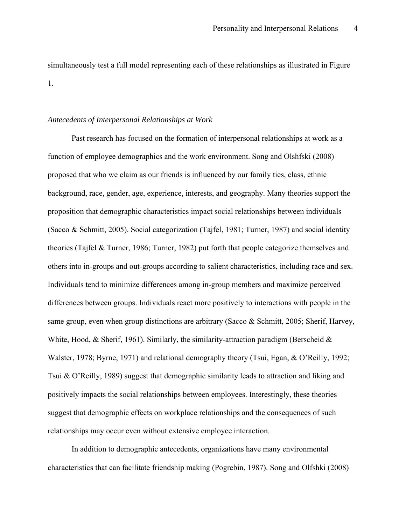simultaneously test a full model representing each of these relationships as illustrated in Figure 1.

#### *Antecedents of Interpersonal Relationships at Work*

Past research has focused on the formation of interpersonal relationships at work as a function of employee demographics and the work environment. Song and Olshfski (2008) proposed that who we claim as our friends is influenced by our family ties, class, ethnic background, race, gender, age, experience, interests, and geography. Many theories support the proposition that demographic characteristics impact social relationships between individuals (Sacco & Schmitt, 2005). Social categorization (Tajfel, 1981; Turner, 1987) and social identity theories (Tajfel & Turner, 1986; Turner, 1982) put forth that people categorize themselves and others into in-groups and out-groups according to salient characteristics, including race and sex. Individuals tend to minimize differences among in-group members and maximize perceived differences between groups. Individuals react more positively to interactions with people in the same group, even when group distinctions are arbitrary (Sacco & Schmitt, 2005; Sherif, Harvey, White, Hood,  $\&$  Sherif, 1961). Similarly, the similarity-attraction paradigm (Berscheid  $\&$ Walster, 1978; Byrne, 1971) and relational demography theory (Tsui, Egan, & O'Reilly, 1992; Tsui & O'Reilly, 1989) suggest that demographic similarity leads to attraction and liking and positively impacts the social relationships between employees. Interestingly, these theories suggest that demographic effects on workplace relationships and the consequences of such relationships may occur even without extensive employee interaction.

In addition to demographic antecedents, organizations have many environmental characteristics that can facilitate friendship making (Pogrebin, 1987). Song and Olfshki (2008)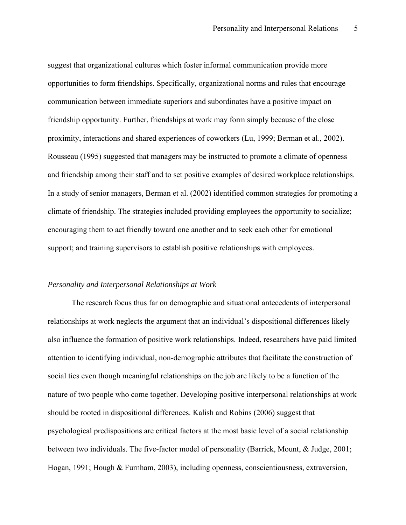suggest that organizational cultures which foster informal communication provide more opportunities to form friendships. Specifically, organizational norms and rules that encourage communication between immediate superiors and subordinates have a positive impact on friendship opportunity. Further, friendships at work may form simply because of the close proximity, interactions and shared experiences of coworkers (Lu, 1999; Berman et al., 2002). Rousseau (1995) suggested that managers may be instructed to promote a climate of openness and friendship among their staff and to set positive examples of desired workplace relationships. In a study of senior managers, Berman et al. (2002) identified common strategies for promoting a climate of friendship. The strategies included providing employees the opportunity to socialize; encouraging them to act friendly toward one another and to seek each other for emotional support; and training supervisors to establish positive relationships with employees.

## *Personality and Interpersonal Relationships at Work*

The research focus thus far on demographic and situational antecedents of interpersonal relationships at work neglects the argument that an individual's dispositional differences likely also influence the formation of positive work relationships. Indeed, researchers have paid limited attention to identifying individual, non-demographic attributes that facilitate the construction of social ties even though meaningful relationships on the job are likely to be a function of the nature of two people who come together. Developing positive interpersonal relationships at work should be rooted in dispositional differences. Kalish and Robins (2006) suggest that psychological predispositions are critical factors at the most basic level of a social relationship between two individuals. The five-factor model of personality (Barrick, Mount, & Judge, 2001; Hogan, 1991; Hough & Furnham, 2003), including openness, conscientiousness, extraversion,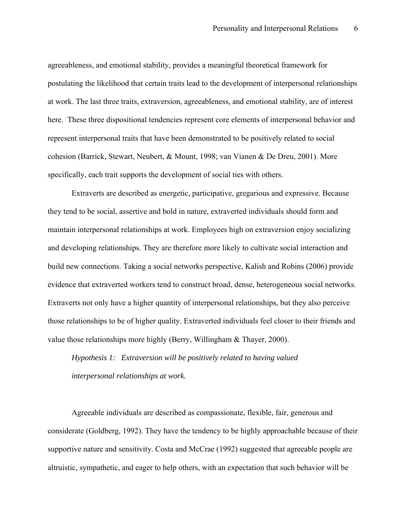agreeableness, and emotional stability, provides a meaningful theoretical framework for postulating the likelihood that certain traits lead to the development of interpersonal relationships at work. The last three traits, extraversion, agreeableness, and emotional stability, are of interest here. These three dispositional tendencies represent core elements of interpersonal behavior and represent interpersonal traits that have been demonstrated to be positively related to social cohesion (Barrick, Stewart, Neubert, & Mount, 1998; van Vianen & De Dreu, 2001). More specifically, each trait supports the development of social ties with others.

Extraverts are described as energetic, participative, gregarious and expressive. Because they tend to be social, assertive and bold in nature, extraverted individuals should form and maintain interpersonal relationships at work. Employees high on extraversion enjoy socializing and developing relationships. They are therefore more likely to cultivate social interaction and build new connections. Taking a social networks perspective, Kalish and Robins (2006) provide evidence that extraverted workers tend to construct broad, dense, heterogeneous social networks. Extraverts not only have a higher quantity of interpersonal relationships, but they also perceive those relationships to be of higher quality. Extraverted individuals feel closer to their friends and value those relationships more highly (Berry, Willingham & Thayer, 2000).

*Hypothesis 1: Extraversion will be positively related to having valued interpersonal relationships at work.* 

Agreeable individuals are described as compassionate, flexible, fair, generous and considerate (Goldberg, 1992). They have the tendency to be highly approachable because of their supportive nature and sensitivity. Costa and McCrae (1992) suggested that agreeable people are altruistic, sympathetic, and eager to help others, with an expectation that such behavior will be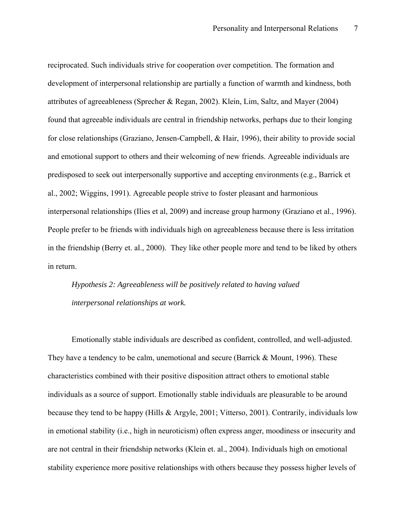reciprocated. Such individuals strive for cooperation over competition. The formation and development of interpersonal relationship are partially a function of warmth and kindness, both attributes of agreeableness (Sprecher & Regan, 2002). Klein, Lim, Saltz, and Mayer (2004) found that agreeable individuals are central in friendship networks, perhaps due to their longing for close relationships (Graziano, Jensen-Campbell, & Hair, 1996), their ability to provide social and emotional support to others and their welcoming of new friends. Agreeable individuals are predisposed to seek out interpersonally supportive and accepting environments (e.g., Barrick et al., 2002; Wiggins, 1991). Agreeable people strive to foster pleasant and harmonious interpersonal relationships (Ilies et al, 2009) and increase group harmony (Graziano et al., 1996). People prefer to be friends with individuals high on agreeableness because there is less irritation in the friendship (Berry et. al., 2000). They like other people more and tend to be liked by others in return.

*Hypothesis 2: Agreeableness will be positively related to having valued interpersonal relationships at work.* 

Emotionally stable individuals are described as confident, controlled, and well-adjusted. They have a tendency to be calm, unemotional and secure (Barrick & Mount, 1996). These characteristics combined with their positive disposition attract others to emotional stable individuals as a source of support. Emotionally stable individuals are pleasurable to be around because they tend to be happy (Hills & Argyle, 2001; Vitterso, 2001). Contrarily, individuals low in emotional stability (i.e., high in neuroticism) often express anger, moodiness or insecurity and are not central in their friendship networks (Klein et. al., 2004). Individuals high on emotional stability experience more positive relationships with others because they possess higher levels of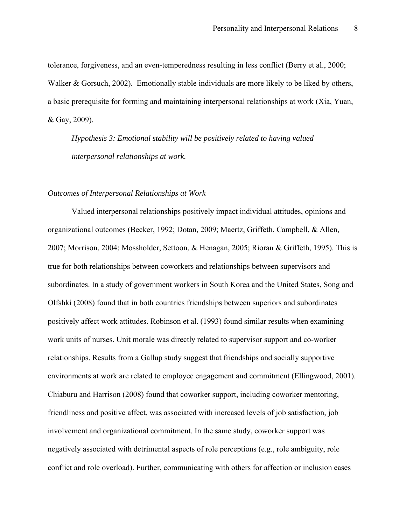tolerance, forgiveness, and an even-temperedness resulting in less conflict (Berry et al., 2000; Walker & Gorsuch, 2002). Emotionally stable individuals are more likely to be liked by others, a basic prerequisite for forming and maintaining interpersonal relationships at work (Xia, Yuan, & Gay, 2009).

*Hypothesis 3: Emotional stability will be positively related to having valued interpersonal relationships at work.*

## *Outcomes of Interpersonal Relationships at Work*

Valued interpersonal relationships positively impact individual attitudes, opinions and organizational outcomes (Becker, 1992; Dotan, 2009; Maertz, Griffeth, Campbell, & Allen, 2007; Morrison, 2004; Mossholder, Settoon, & Henagan, 2005; Rioran & Griffeth, 1995). This is true for both relationships between coworkers and relationships between supervisors and subordinates. In a study of government workers in South Korea and the United States, Song and Olfshki (2008) found that in both countries friendships between superiors and subordinates positively affect work attitudes. Robinson et al. (1993) found similar results when examining work units of nurses. Unit morale was directly related to supervisor support and co-worker relationships. Results from a Gallup study suggest that friendships and socially supportive environments at work are related to employee engagement and commitment (Ellingwood, 2001). Chiaburu and Harrison (2008) found that coworker support, including coworker mentoring, friendliness and positive affect, was associated with increased levels of job satisfaction, job involvement and organizational commitment. In the same study, coworker support was negatively associated with detrimental aspects of role perceptions (e.g., role ambiguity, role conflict and role overload). Further, communicating with others for affection or inclusion eases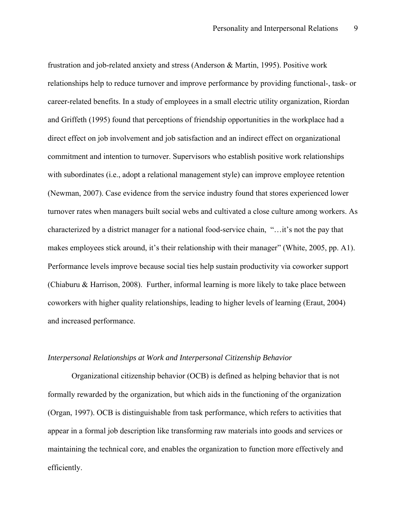frustration and job-related anxiety and stress (Anderson & Martin, 1995). Positive work relationships help to reduce turnover and improve performance by providing functional-, task- or career-related benefits. In a study of employees in a small electric utility organization, Riordan and Griffeth (1995) found that perceptions of friendship opportunities in the workplace had a direct effect on job involvement and job satisfaction and an indirect effect on organizational commitment and intention to turnover. Supervisors who establish positive work relationships with subordinates (i.e., adopt a relational management style) can improve employee retention (Newman, 2007). Case evidence from the service industry found that stores experienced lower turnover rates when managers built social webs and cultivated a close culture among workers. As characterized by a district manager for a national food-service chain, "…it's not the pay that makes employees stick around, it's their relationship with their manager" (White, 2005, pp. A1). Performance levels improve because social ties help sustain productivity via coworker support (Chiaburu & Harrison, 2008). Further, informal learning is more likely to take place between coworkers with higher quality relationships, leading to higher levels of learning (Eraut, 2004) and increased performance.

## *Interpersonal Relationships at Work and Interpersonal Citizenship Behavior*

Organizational citizenship behavior (OCB) is defined as helping behavior that is not formally rewarded by the organization, but which aids in the functioning of the organization (Organ, 1997). OCB is distinguishable from task performance, which refers to activities that appear in a formal job description like transforming raw materials into goods and services or maintaining the technical core, and enables the organization to function more effectively and efficiently.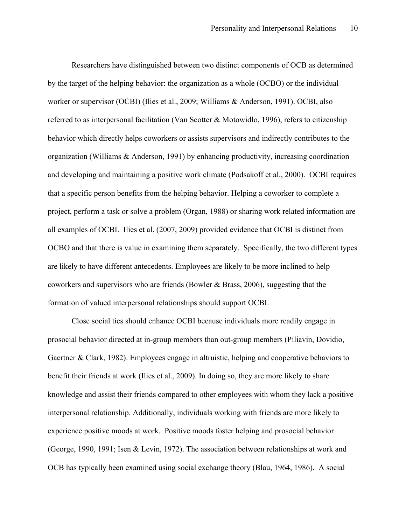Researchers have distinguished between two distinct components of OCB as determined by the target of the helping behavior: the organization as a whole (OCBO) or the individual worker or supervisor (OCBI) (Ilies et al., 2009; Williams & Anderson, 1991). OCBI, also referred to as interpersonal facilitation (Van Scotter & Motowidlo, 1996), refers to citizenship behavior which directly helps coworkers or assists supervisors and indirectly contributes to the organization (Williams & Anderson, 1991) by enhancing productivity, increasing coordination and developing and maintaining a positive work climate (Podsakoff et al., 2000). OCBI requires that a specific person benefits from the helping behavior. Helping a coworker to complete a project, perform a task or solve a problem (Organ, 1988) or sharing work related information are all examples of OCBI. Ilies et al. (2007, 2009) provided evidence that OCBI is distinct from OCBO and that there is value in examining them separately. Specifically, the two different types are likely to have different antecedents. Employees are likely to be more inclined to help coworkers and supervisors who are friends (Bowler & Brass, 2006), suggesting that the formation of valued interpersonal relationships should support OCBI.

Close social ties should enhance OCBI because individuals more readily engage in prosocial behavior directed at in-group members than out-group members (Piliavin, Dovidio, Gaertner & Clark, 1982). Employees engage in altruistic, helping and cooperative behaviors to benefit their friends at work (Ilies et al., 2009). In doing so, they are more likely to share knowledge and assist their friends compared to other employees with whom they lack a positive interpersonal relationship. Additionally, individuals working with friends are more likely to experience positive moods at work. Positive moods foster helping and prosocial behavior (George, 1990, 1991; Isen & Levin, 1972). The association between relationships at work and OCB has typically been examined using social exchange theory (Blau, 1964, 1986). A social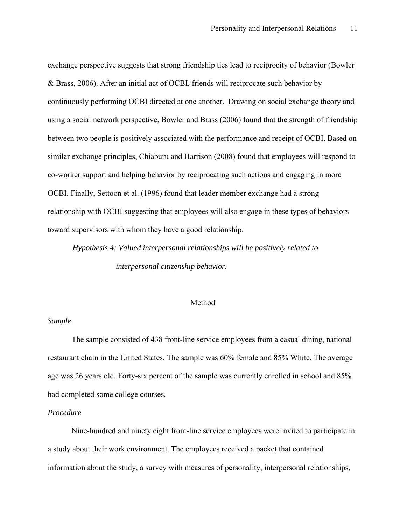exchange perspective suggests that strong friendship ties lead to reciprocity of behavior (Bowler & Brass, 2006). After an initial act of OCBI, friends will reciprocate such behavior by continuously performing OCBI directed at one another. Drawing on social exchange theory and using a social network perspective, Bowler and Brass (2006) found that the strength of friendship between two people is positively associated with the performance and receipt of OCBI. Based on similar exchange principles, Chiaburu and Harrison (2008) found that employees will respond to co-worker support and helping behavior by reciprocating such actions and engaging in more OCBI. Finally, Settoon et al. (1996) found that leader member exchange had a strong relationship with OCBI suggesting that employees will also engage in these types of behaviors toward supervisors with whom they have a good relationship.

*Hypothesis 4: Valued interpersonal relationships will be positively related to interpersonal citizenship behavior.* 

## Method

## *Sample*

The sample consisted of 438 front-line service employees from a casual dining, national restaurant chain in the United States. The sample was 60% female and 85% White. The average age was 26 years old. Forty-six percent of the sample was currently enrolled in school and 85% had completed some college courses.

#### *Procedure*

Nine-hundred and ninety eight front-line service employees were invited to participate in a study about their work environment. The employees received a packet that contained information about the study, a survey with measures of personality, interpersonal relationships,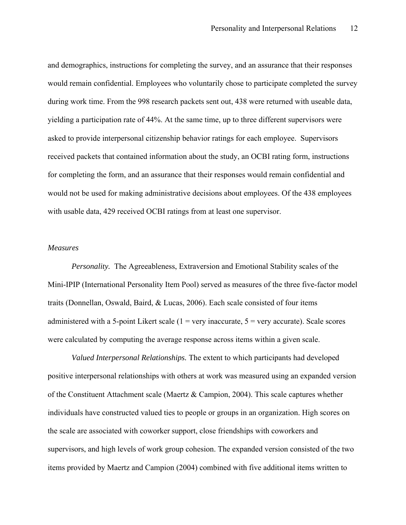and demographics, instructions for completing the survey, and an assurance that their responses would remain confidential. Employees who voluntarily chose to participate completed the survey during work time. From the 998 research packets sent out, 438 were returned with useable data, yielding a participation rate of 44%. At the same time, up to three different supervisors were asked to provide interpersonal citizenship behavior ratings for each employee. Supervisors received packets that contained information about the study, an OCBI rating form, instructions for completing the form, and an assurance that their responses would remain confidential and would not be used for making administrative decisions about employees. Of the 438 employees with usable data, 429 received OCBI ratings from at least one supervisor.

## *Measures*

*Personality.* The Agreeableness, Extraversion and Emotional Stability scales of the Mini-IPIP (International Personality Item Pool) served as measures of the three five-factor model traits (Donnellan, Oswald, Baird, & Lucas, 2006). Each scale consisted of four items administered with a 5-point Likert scale  $(1 = \text{very inaccurate}, 5 = \text{very accurate})$ . Scale scores were calculated by computing the average response across items within a given scale.

*Valued Interpersonal Relationships.* The extent to which participants had developed positive interpersonal relationships with others at work was measured using an expanded version of the Constituent Attachment scale (Maertz & Campion, 2004). This scale captures whether individuals have constructed valued ties to people or groups in an organization. High scores on the scale are associated with coworker support, close friendships with coworkers and supervisors, and high levels of work group cohesion. The expanded version consisted of the two items provided by Maertz and Campion (2004) combined with five additional items written to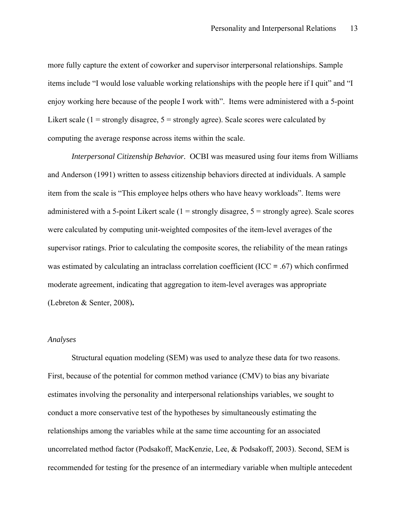more fully capture the extent of coworker and supervisor interpersonal relationships. Sample items include "I would lose valuable working relationships with the people here if I quit" and "I enjoy working here because of the people I work with". Items were administered with a 5-point Likert scale ( $1 =$  strongly disagree,  $5 =$  strongly agree). Scale scores were calculated by computing the average response across items within the scale.

*Interpersonal Citizenship Behavior.* OCBI was measured using four items from Williams and Anderson (1991) written to assess citizenship behaviors directed at individuals. A sample item from the scale is "This employee helps others who have heavy workloads". Items were administered with a 5-point Likert scale  $(1 =$  strongly disagree,  $5 =$  strongly agree). Scale scores were calculated by computing unit-weighted composites of the item-level averages of the supervisor ratings. Prior to calculating the composite scores, the reliability of the mean ratings was estimated by calculating an intraclass correlation coefficient (ICC **=** .67) which confirmed moderate agreement, indicating that aggregation to item-level averages was appropriate (Lebreton & Senter, 2008)**.**

#### *Analyses*

Structural equation modeling (SEM) was used to analyze these data for two reasons. First, because of the potential for common method variance (CMV) to bias any bivariate estimates involving the personality and interpersonal relationships variables, we sought to conduct a more conservative test of the hypotheses by simultaneously estimating the relationships among the variables while at the same time accounting for an associated uncorrelated method factor (Podsakoff, MacKenzie, Lee, & Podsakoff, 2003). Second, SEM is recommended for testing for the presence of an intermediary variable when multiple antecedent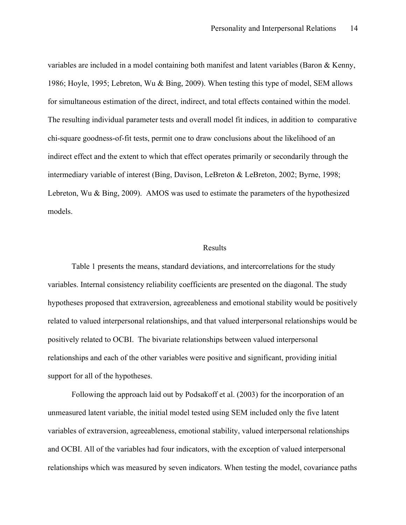variables are included in a model containing both manifest and latent variables (Baron & Kenny, 1986; Hoyle, 1995; Lebreton, Wu & Bing, 2009). When testing this type of model, SEM allows for simultaneous estimation of the direct, indirect, and total effects contained within the model. The resulting individual parameter tests and overall model fit indices, in addition to comparative chi-square goodness-of-fit tests, permit one to draw conclusions about the likelihood of an indirect effect and the extent to which that effect operates primarily or secondarily through the intermediary variable of interest (Bing, Davison, LeBreton & LeBreton, 2002; Byrne, 1998; Lebreton, Wu & Bing, 2009). AMOS was used to estimate the parameters of the hypothesized models.

## Results

Table 1 presents the means, standard deviations, and intercorrelations for the study variables. Internal consistency reliability coefficients are presented on the diagonal. The study hypotheses proposed that extraversion, agreeableness and emotional stability would be positively related to valued interpersonal relationships, and that valued interpersonal relationships would be positively related to OCBI. The bivariate relationships between valued interpersonal relationships and each of the other variables were positive and significant, providing initial support for all of the hypotheses.

Following the approach laid out by Podsakoff et al. (2003) for the incorporation of an unmeasured latent variable, the initial model tested using SEM included only the five latent variables of extraversion, agreeableness, emotional stability, valued interpersonal relationships and OCBI. All of the variables had four indicators, with the exception of valued interpersonal relationships which was measured by seven indicators. When testing the model, covariance paths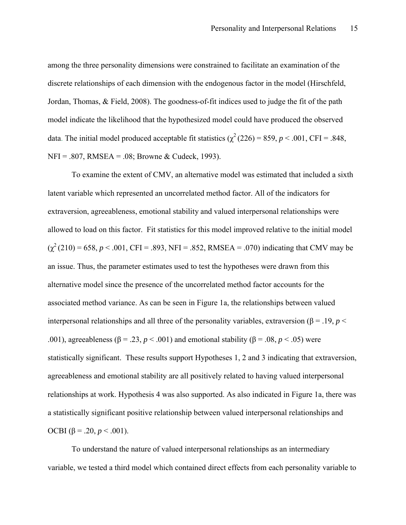among the three personality dimensions were constrained to facilitate an examination of the discrete relationships of each dimension with the endogenous factor in the model (Hirschfeld, Jordan, Thomas, & Field, 2008). The goodness-of-fit indices used to judge the fit of the path model indicate the likelihood that the hypothesized model could have produced the observed data. The initial model produced acceptable fit statistics ( $\chi^2$  (226) = 859, *p* < .001, CFI = .848, NFI = .807, RMSEA = .08; Browne & Cudeck, 1993).

To examine the extent of CMV, an alternative model was estimated that included a sixth latent variable which represented an uncorrelated method factor. All of the indicators for extraversion, agreeableness, emotional stability and valued interpersonal relationships were allowed to load on this factor. Fit statistics for this model improved relative to the initial model  $(\chi^2(210) = 658, p < .001, CFI = .893, NFI = .852, RMSEA = .070)$  indicating that CMV may be an issue. Thus, the parameter estimates used to test the hypotheses were drawn from this alternative model since the presence of the uncorrelated method factor accounts for the associated method variance. As can be seen in Figure 1a, the relationships between valued interpersonal relationships and all three of the personality variables, extraversion (β = .19, *p* < .001), agreeableness ( $\beta$  = .23, *p* < .001) and emotional stability ( $\beta$  = .08, *p* < .05) were statistically significant. These results support Hypotheses 1, 2 and 3 indicating that extraversion, agreeableness and emotional stability are all positively related to having valued interpersonal relationships at work. Hypothesis 4 was also supported. As also indicated in Figure 1a, there was a statistically significant positive relationship between valued interpersonal relationships and OCBI (β = .20,  $p < .001$ ).

To understand the nature of valued interpersonal relationships as an intermediary variable, we tested a third model which contained direct effects from each personality variable to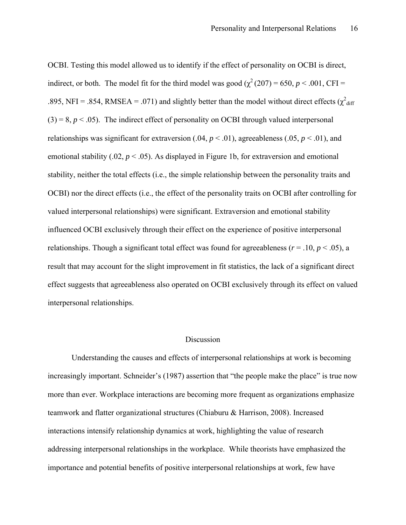OCBI. Testing this model allowed us to identify if the effect of personality on OCBI is direct, indirect, or both. The model fit for the third model was good ( $\chi^2$  (207) = 650, *p* < .001, CFI = .895, NFI = .854, RMSEA = .071) and slightly better than the model without direct effects ( $\chi^2$ <sub>diff</sub>  $(3) = 8$ ,  $p < .05$ ). The indirect effect of personality on OCBI through valued interpersonal relationships was significant for extraversion (.04,  $p < .01$ ), agreeableness (.05,  $p < .01$ ), and emotional stability  $(.02, p < .05)$ . As displayed in Figure 1b, for extraversion and emotional stability, neither the total effects (i.e., the simple relationship between the personality traits and OCBI) nor the direct effects (i.e., the effect of the personality traits on OCBI after controlling for valued interpersonal relationships) were significant. Extraversion and emotional stability influenced OCBI exclusively through their effect on the experience of positive interpersonal relationships. Though a significant total effect was found for agreeableness ( $r = .10$ ,  $p < .05$ ), a result that may account for the slight improvement in fit statistics, the lack of a significant direct effect suggests that agreeableness also operated on OCBI exclusively through its effect on valued interpersonal relationships.

## Discussion

Understanding the causes and effects of interpersonal relationships at work is becoming increasingly important. Schneider's (1987) assertion that "the people make the place" is true now more than ever. Workplace interactions are becoming more frequent as organizations emphasize teamwork and flatter organizational structures (Chiaburu & Harrison, 2008). Increased interactions intensify relationship dynamics at work, highlighting the value of research addressing interpersonal relationships in the workplace. While theorists have emphasized the importance and potential benefits of positive interpersonal relationships at work, few have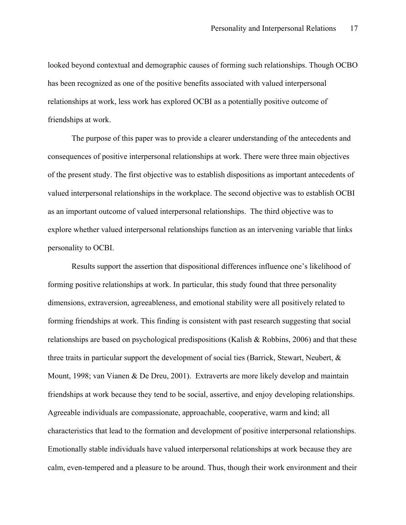looked beyond contextual and demographic causes of forming such relationships. Though OCBO has been recognized as one of the positive benefits associated with valued interpersonal relationships at work, less work has explored OCBI as a potentially positive outcome of friendships at work.

The purpose of this paper was to provide a clearer understanding of the antecedents and consequences of positive interpersonal relationships at work. There were three main objectives of the present study. The first objective was to establish dispositions as important antecedents of valued interpersonal relationships in the workplace. The second objective was to establish OCBI as an important outcome of valued interpersonal relationships. The third objective was to explore whether valued interpersonal relationships function as an intervening variable that links personality to OCBI.

Results support the assertion that dispositional differences influence one's likelihood of forming positive relationships at work. In particular, this study found that three personality dimensions, extraversion, agreeableness, and emotional stability were all positively related to forming friendships at work. This finding is consistent with past research suggesting that social relationships are based on psychological predispositions (Kalish & Robbins, 2006) and that these three traits in particular support the development of social ties (Barrick, Stewart, Neubert, & Mount, 1998; van Vianen & De Dreu, 2001). Extraverts are more likely develop and maintain friendships at work because they tend to be social, assertive, and enjoy developing relationships. Agreeable individuals are compassionate, approachable, cooperative, warm and kind; all characteristics that lead to the formation and development of positive interpersonal relationships. Emotionally stable individuals have valued interpersonal relationships at work because they are calm, even-tempered and a pleasure to be around. Thus, though their work environment and their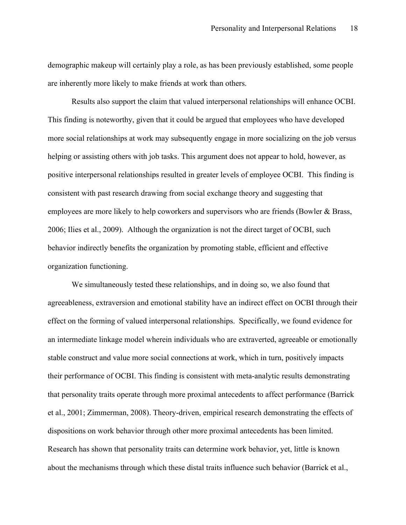demographic makeup will certainly play a role, as has been previously established, some people are inherently more likely to make friends at work than others.

Results also support the claim that valued interpersonal relationships will enhance OCBI. This finding is noteworthy, given that it could be argued that employees who have developed more social relationships at work may subsequently engage in more socializing on the job versus helping or assisting others with job tasks. This argument does not appear to hold, however, as positive interpersonal relationships resulted in greater levels of employee OCBI. This finding is consistent with past research drawing from social exchange theory and suggesting that employees are more likely to help coworkers and supervisors who are friends (Bowler & Brass, 2006; Ilies et al., 2009). Although the organization is not the direct target of OCBI, such behavior indirectly benefits the organization by promoting stable, efficient and effective organization functioning.

We simultaneously tested these relationships, and in doing so, we also found that agreeableness, extraversion and emotional stability have an indirect effect on OCBI through their effect on the forming of valued interpersonal relationships. Specifically, we found evidence for an intermediate linkage model wherein individuals who are extraverted, agreeable or emotionally stable construct and value more social connections at work, which in turn, positively impacts their performance of OCBI. This finding is consistent with meta-analytic results demonstrating that personality traits operate through more proximal antecedents to affect performance (Barrick et al., 2001; Zimmerman, 2008). Theory-driven, empirical research demonstrating the effects of dispositions on work behavior through other more proximal antecedents has been limited. Research has shown that personality traits can determine work behavior, yet, little is known about the mechanisms through which these distal traits influence such behavior (Barrick et al.,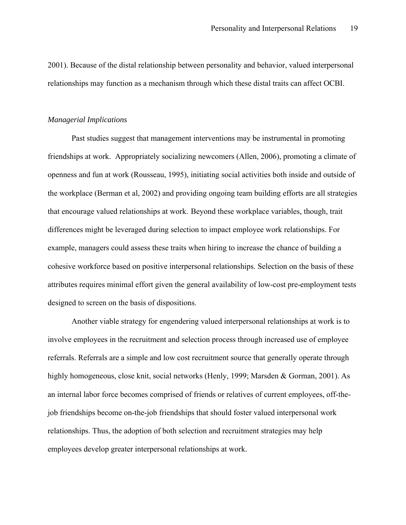2001). Because of the distal relationship between personality and behavior, valued interpersonal relationships may function as a mechanism through which these distal traits can affect OCBI.

#### *Managerial Implications*

Past studies suggest that management interventions may be instrumental in promoting friendships at work. Appropriately socializing newcomers (Allen, 2006), promoting a climate of openness and fun at work (Rousseau, 1995), initiating social activities both inside and outside of the workplace (Berman et al, 2002) and providing ongoing team building efforts are all strategies that encourage valued relationships at work. Beyond these workplace variables, though, trait differences might be leveraged during selection to impact employee work relationships. For example, managers could assess these traits when hiring to increase the chance of building a cohesive workforce based on positive interpersonal relationships. Selection on the basis of these attributes requires minimal effort given the general availability of low-cost pre-employment tests designed to screen on the basis of dispositions.

Another viable strategy for engendering valued interpersonal relationships at work is to involve employees in the recruitment and selection process through increased use of employee referrals. Referrals are a simple and low cost recruitment source that generally operate through highly homogeneous, close knit, social networks (Henly, 1999; Marsden & Gorman, 2001). As an internal labor force becomes comprised of friends or relatives of current employees, off-thejob friendships become on-the-job friendships that should foster valued interpersonal work relationships. Thus, the adoption of both selection and recruitment strategies may help employees develop greater interpersonal relationships at work.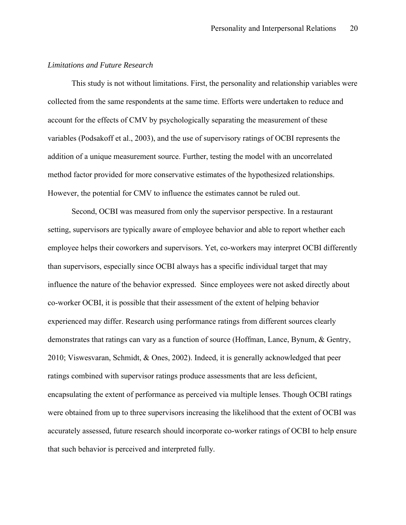#### *Limitations and Future Research*

This study is not without limitations. First, the personality and relationship variables were collected from the same respondents at the same time. Efforts were undertaken to reduce and account for the effects of CMV by psychologically separating the measurement of these variables (Podsakoff et al., 2003), and the use of supervisory ratings of OCBI represents the addition of a unique measurement source. Further, testing the model with an uncorrelated method factor provided for more conservative estimates of the hypothesized relationships. However, the potential for CMV to influence the estimates cannot be ruled out.

Second, OCBI was measured from only the supervisor perspective. In a restaurant setting, supervisors are typically aware of employee behavior and able to report whether each employee helps their coworkers and supervisors. Yet, co-workers may interpret OCBI differently than supervisors, especially since OCBI always has a specific individual target that may influence the nature of the behavior expressed. Since employees were not asked directly about co-worker OCBI, it is possible that their assessment of the extent of helping behavior experienced may differ. Research using performance ratings from different sources clearly demonstrates that ratings can vary as a function of source (Hoffman, Lance, Bynum, & Gentry, 2010; Viswesvaran, Schmidt, & Ones, 2002). Indeed, it is generally acknowledged that peer ratings combined with supervisor ratings produce assessments that are less deficient, encapsulating the extent of performance as perceived via multiple lenses. Though OCBI ratings were obtained from up to three supervisors increasing the likelihood that the extent of OCBI was accurately assessed, future research should incorporate co-worker ratings of OCBI to help ensure that such behavior is perceived and interpreted fully.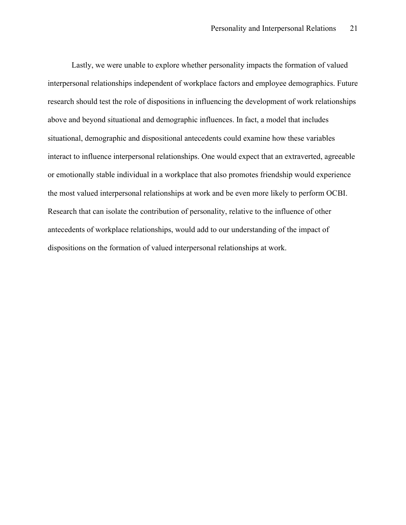Lastly, we were unable to explore whether personality impacts the formation of valued interpersonal relationships independent of workplace factors and employee demographics. Future research should test the role of dispositions in influencing the development of work relationships above and beyond situational and demographic influences. In fact, a model that includes situational, demographic and dispositional antecedents could examine how these variables interact to influence interpersonal relationships. One would expect that an extraverted, agreeable or emotionally stable individual in a workplace that also promotes friendship would experience the most valued interpersonal relationships at work and be even more likely to perform OCBI. Research that can isolate the contribution of personality, relative to the influence of other antecedents of workplace relationships, would add to our understanding of the impact of dispositions on the formation of valued interpersonal relationships at work.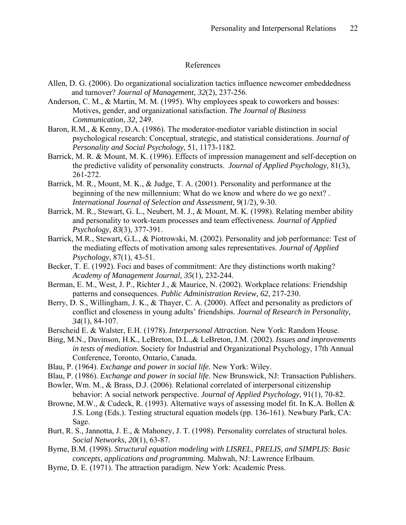## References

- Allen, D. G. (2006). Do organizational socialization tactics influence newcomer embeddedness and turnover? *Journal of Management, 32*(2), 237-256.
- Anderson, C. M., & Martin, M. M. (1995). Why employees speak to coworkers and bosses: Motives, gender, and organizational satisfaction. *The Journal of Business Communication*, *32*, 249.
- Baron, R.M., & Kenny, D.A. (1986). The moderator-mediator variable distinction in social psychological research: Conceptual, strategic, and statistical considerations. *Journal of Personality and Social Psychology*, 51, 1173-1182.
- Barrick, M. R. & Mount, M. K. (1996). Effects of impression management and self-deception on the predictive validity of personality constructs. *Journal of Applied Psychology,* 81(3), 261-272.
- Barrick, M. R., Mount, M. K., & Judge, T. A. (2001). Personality and performance at the beginning of the new millennium: What do we know and where do we go next? . *International Journal of Selection and Assessment, 9*(1/2), 9-30.
- Barrick, M. R., Stewart, G. L., Neubert, M. J., & Mount, M. K. (1998). Relating member ability and personality to work-team processes and team effectiveness. *Journal of Applied Psychology, 83*(3), 377-391.
- Barrick, M.R., Stewart, G.L., & Piotrowski, M. (2002). Personality and job performance: Test of the mediating effects of motivation among sales representatives. *Journal of Applied Psychology*, 87(1), 43-51.
- Becker, T. E. (1992). Foci and bases of commitment: Are they distinctions worth making? *Academy of Management Journal, 35*(1), 232-244.
- Berman, E. M., West, J. P., Richter J., & Maurice, N. (2002). Workplace relations: Friendship patterns and consequences. *Public Administration Review, 62*, 217-230.
- Berry, D. S., Willingham, J. K., & Thayer, C. A. (2000). Affect and personality as predictors of conflict and closeness in young adults' friendships. *Journal of Research in Personality, 34*(1), 84-107.
- Berscheid E. & Walster, E.H. (1978). *Interpersonal Attraction.* New York: Random House.
- Bing, M.N., Davinson, H.K., LeBreton, D.L.,& LeBreton, J.M. (2002). *Issues and improvements in tests of mediation.* Society for Industrial and Organizational Psychology, 17th Annual Conference, Toronto, Ontario, Canada.
- Blau, P. (1964). *Exchange and power in social life.* New York: Wiley.
- Blau, P. (1986). *Exchange and power in social life.* New Brunswick, NJ: Transaction Publishers.
- Bowler, Wm. M., & Brass, D.J. (2006). Relational correlated of interpersonal citizenship behavior: A social network perspective. *Journal of Applied Psychology*, 91(1), 70-82.
- Browne, M.W., & Cudeck, R. (1993). Alternative ways of assessing model fit. In K.A. Bollen & J.S. Long (Eds.). Testing structural equation models (pp. 136-161). Newbury Park, CA: Sage.
- Burt, R. S., Jannotta, J. E., & Mahoney, J. T. (1998). Personality correlates of structural holes. *Social Networks, 20*(1), 63-87.
- Byrne, B.M. (1998). *Structural equation modeling with LISREL, PRELIS, and SIMPLIS: Basic concepts, applications and programming.* Mahwah, NJ: Lawrence Erlbaum.
- Byrne, D. E. (1971). The attraction paradigm. New York: Academic Press.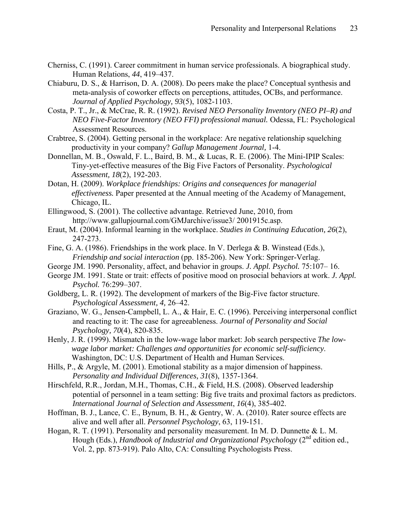- Cherniss, C. (1991). Career commitment in human service professionals. A biographical study. Human Relations, *44*, 419–437.
- Chiaburu, D. S., & Harrison, D. A. (2008). Do peers make the place? Conceptual synthesis and meta-analysis of coworker effects on perceptions, attitudes, OCBs, and performance. *Journal of Applied Psychology, 93*(5), 1082-1103.
- Costa, P. T., Jr., & McCrae, R. R. (1992). *Revised NEO Personality Inventory (NEO PI–R) and NEO Five-Factor Inventory (NEO FFI) professional manual.* Odessa, FL: Psychological Assessment Resources.
- Crabtree, S. (2004). Getting personal in the workplace: Are negative relationship squelching productivity in your company? *Gallup Management Journal,* 1-4.
- Donnellan, M. B., Oswald, F. L., Baird, B. M., & Lucas, R. E. (2006). The Mini-IPIP Scales: Tiny-yet-effective measures of the Big Five Factors of Personality. *Psychological Assessment, 18*(2), 192-203.
- Dotan, H. (2009). *Workplace friendships: Origins and consequences for managerial effectiveness.* Paper presented at the Annual meeting of the Academy of Management, Chicago, IL.
- Ellingwood, S. (2001). The collective advantage. Retrieved June, 2010, from http://www.gallupjournal.com/GMJarchive/issue3/ 2001915c.asp.
- Eraut, M. (2004). Informal learning in the workplace. *Studies in Continuing Education, 26*(2), 247-273.
- Fine, G. A. (1986). Friendships in the work place. In V. Derlega & B. Winstead (Eds.), *Friendship and social interaction* (pp. 185-206). New York: Springer-Verlag.
- George JM. 1990. Personality, affect, and behavior in groups. *J. Appl. Psychol.* 75:107– 16.
- George JM. 1991. State or trait: effects of positive mood on prosocial behaviors at work. *J. Appl. Psychol.* 76:299–307.
- Goldberg, L. R. (1992). The development of markers of the Big-Five factor structure. *Psychological Assessment, 4,* 26–42.
- Graziano, W. G., Jensen-Campbell, L. A., & Hair, E. C. (1996). Perceiving interpersonal conflict and reacting to it: The case for agreeableness. *Journal of Personality and Social Psychology, 70*(4), 820-835.
- Henly, J. R. (1999). Mismatch in the low-wage labor market: Job search perspective *The lowwage labor market: Challenges and opportunities for economic self-sufficiency*. Washington, DC: U.S. Department of Health and Human Services.
- Hills, P., & Argyle, M. (2001). Emotional stability as a major dimension of happiness. *Personality and Individual Differences, 31*(8), 1357-1364.
- Hirschfeld, R.R., Jordan, M.H., Thomas, C.H., & Field, H.S. (2008). Observed leadership potential of personnel in a team setting: Big five traits and proximal factors as predictors. *International Journal of Selection and Assessment*, *16*(4), 385-402.
- Hoffman, B. J., Lance, C. E., Bynum, B. H., & Gentry, W. A. (2010). Rater source effects are alive and well after all. *Personnel Psychology*, 63, 119-151.
- Hogan, R. T. (1991). Personality and personality measurement. In M. D. Dunnette & L. M. Hough (Eds.), *Handbook of Industrial and Organizational Psychology* (2<sup>nd</sup> edition ed., Vol. 2, pp. 873-919). Palo Alto, CA: Consulting Psychologists Press.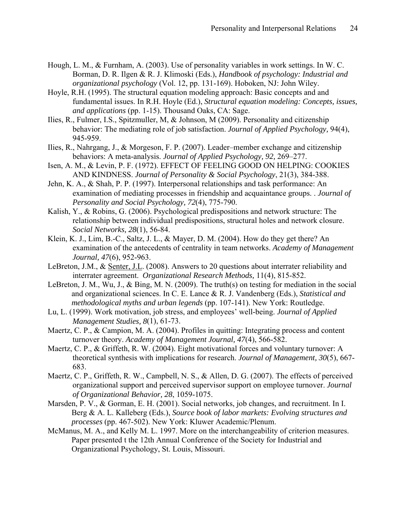- Hough, L. M., & Furnham, A. (2003). Use of personality variables in work settings. In W. C. Borman, D. R. Ilgen & R. J. Klimoski (Eds.), *Handbook of psychology: Industrial and organizational psychology* (Vol. 12, pp. 131-169). Hoboken, NJ: John Wiley.
- Hoyle, R.H. (1995). The structural equation modeling approach: Basic concepts and and fundamental issues. In R.H. Hoyle (Ed.), *Structural equation modeling: Concepts, issues, and applications* (pp. 1-15). Thousand Oaks, CA: Sage.
- Ilies, R., Fulmer, I.S., Spitzmuller, M, & Johnson, M (2009). Personality and citizenship behavior: The mediating role of job satisfaction. *Journal of Applied Psychology,* 94(4), 945-959.
- Ilies, R., Nahrgang, J., & Morgeson, F. P. (2007). Leader–member exchange and citizenship behaviors: A meta-analysis. *Journal of Applied Psychology, 92,* 269–277.
- Isen, A. M., & Levin, P. F. (1972). EFFECT OF FEELING GOOD ON HELPING: COOKIES AND KINDNESS. *Journal of Personality & Social Psychology*, 21(3), 384-388.
- Jehn, K. A., & Shah, P. P. (1997). Interpersonal relationships and task performance: An examination of mediating processes in friendship and acquaintance groups. . *Journal of Personality and Social Psychology, 72*(4), 775-790.
- Kalish, Y., & Robins, G. (2006). Psychological predispositions and network structure: The relationship between individual predispositions, structural holes and network closure. *Social Networks, 28*(1), 56-84.
- Klein, K. J., Lim, B.-C., Saltz, J. L., & Mayer, D. M. (2004). How do they get there? An examination of the antecedents of centrality in team networks. *Academy of Management Journal, 47*(6), 952-963.
- LeBreton, J.M., & Senter, J.L. (2008). Answers to 20 questions about interrater reliability and interrater agreement. *Organizational Research Methods,* 11(4), 815-852.
- LeBreton, J. M., Wu, J., & Bing, M. N. (2009). The truth(s) on testing for mediation in the social and organizational sciences. In C. E. Lance & R. J. Vandenberg (Eds.), *Statistical and methodological myths and urban legends* (pp. 107-141). New York: Routledge.
- Lu, L. (1999). Work motivation, job stress, and employees' well-being. *Journal of Applied Management Studies, 8*(1), 61-73.
- Maertz, C. P., & Campion, M. A. (2004). Profiles in quitting: Integrating process and content turnover theory. *Academy of Management Journal, 47*(4), 566-582.
- Maertz, C. P., & Griffeth, R. W. (2004). Eight motivational forces and voluntary turnover: A theoretical synthesis with implications for research. *Journal of Management, 30*(5), 667- 683.
- Maertz, C. P., Griffeth, R. W., Campbell, N. S., & Allen, D. G. (2007). The effects of perceived organizational support and perceived supervisor support on employee turnover. *Journal of Organizational Behavior, 28*, 1059-1075.
- Marsden, P. V., & Gorman, E. H. (2001). Social networks, job changes, and recruitment. In I. Berg & A. L. Kalleberg (Eds.), *Source book of labor markets: Evolving structures and processes* (pp. 467-502). New York: Kluwer Academic/Plenum.
- McManus, M. A., and Kelly M. L. 1997. More on the interchangeability of criterion measures. Paper presented t the 12th Annual Conference of the Society for Industrial and Organizational Psychology, St. Louis, Missouri.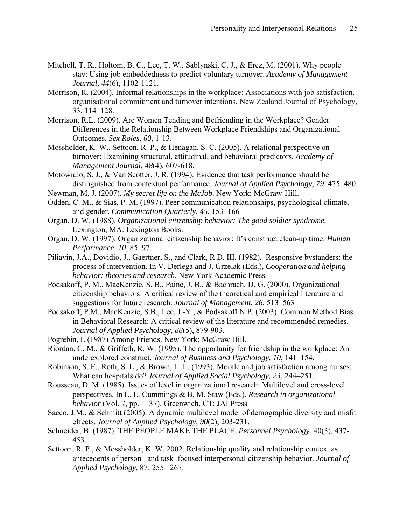- Mitchell, T. R., Holtom, B. C., Lee, T. W., Sablynski, C. J., & Erez, M. (2001). Why people stay: Using job embeddedness to predict voluntary turnover. *Academy of Management Journal, 44*(6), 1102-1121.
- Morrison, R. (2004). Informal relationships in the workplace: Associations with job satisfaction, organisational commitment and turnover intentions. New Zealand Journal of Psychology, 33, 114–128.
- Morrison, R.L. (2009). Are Women Tending and Befriending in the Workplace? Gender Differences in the Relationship Between Workplace Friendships and Organizational Outcomes. *Sex Roles, 60,* 1-13.
- Mossholder, K. W., Settoon, R. P., & Henagan, S. C. (2005). A relational perspective on turnover: Examining structural, attitudinal, and behavioral predictors. *Academy of Management Journal, 48*(4), 607-618.
- Motowidlo, S. J., & Van Scotter, J. R. (1994). Evidence that task performance should be distinguished from contextual performance. *Journal of Applied Psychology, 79,* 475–480.
- Newman, M. J. (2007). *My secret life on the McJob*. New York: McGraw-Hill.
- Odden, C. M., & Sias, P. M. (1997). Peer communication relationships, psychological climate, and gender. *Communication Quarterly, 45*, 153–166
- Organ, D. W. (1988). *Organizational citizenship behavior: The good soldier syndrome.*  Lexington, MA: Lexington Books.
- Organ, D. W. (1997). Organizational citizenship behavior: It's construct clean-up time. *Human Performance, 10,* 85–97.
- Piliavin, J.A., Dovidio, J., Gaertner, S., and Clark, R.D. III. (1982). Responsive bystanders: the process of intervention. In V. Derlega and J. Grzelak (Eds.), *Cooperation and helping behavior: theories and research*. New York Academic Press.
- Podsakoff, P. M., MacKenzie, S. B., Paine, J. B., & Bachrach, D. G. (2000). Organizational citizenship behaviors: A critical review of the theoretical and empirical literature and suggestions for future research. *Journal of Management, 26,* 513–563
- Podsakoff, P.M., MacKenzie, S.B., Lee, J.-Y., & Podsakoff N.P. (2003). Common Method Bias in Behavioral Research: A critical review of the literature and recommended remedies. *Journal of Applied Psychology, 88*(5), 879-903.
- Pogrebin, L (1987) Among Friends. New York: McGraw Hill.
- Riordan, C. M., & Griffeth, R. W. (1995). The opportunity for friendship in the workplace: An underexplored construct. *Journal of Business and Psychology, 10*, 141–154.
- Robinson, S. E., Roth, S. L., & Brown, L. L. (1993). Morale and job satisfaction among nurses: What can hospitals do? *Journal of Applied Social Psychology, 23*, 244–251.
- Rousseau, D. M. (1985). Issues of level in organizational research: Multilevel and cross-level perspectives. In L. L. Cummings & B. M. Staw (Eds.), *Research in organizational behavior* (Vol. 7, pp. 1–37). Greenwich, CT: JAI Press
- Sacco, J.M., & Schmitt (2005). A dynamic multilevel model of demographic diversity and misfit effects. *Journal of Applied Psychology, 90*(2), 203-231.
- Schneider, B. (1987). THE PEOPLE MAKE THE PLACE. *Personnel Psychology*, 40(3), 437- 453.
- Settoon, R. P., & Mossholder, K. W. 2002. Relationship quality and relationship context as antecedents of person– and task–focused interpersonal citizenship behavior. *Journal of Applied Psychology,* 87: 255– 267.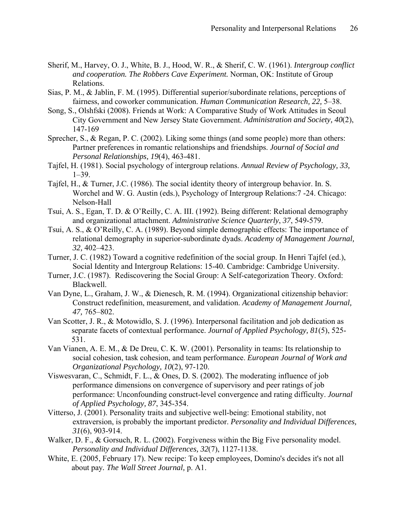- Sherif, M., Harvey, O. J., White, B. J., Hood, W. R., & Sherif, C. W. (1961). *Intergroup conflict and cooperation. The Robbers Cave Experiment.* Norman, OK: Institute of Group Relations.
- Sias, P. M., & Jablin, F. M. (1995). Differential superior/subordinate relations, perceptions of fairness, and coworker communication. *Human Communication Research, 22,* 5–38.
- Song, S., Olshfski (2008). Friends at Work: A Comparative Study of Work Attitudes in Seoul City Government and New Jersey State Government. *Administration and Society, 40*(2), 147-169
- Sprecher, S., & Regan, P. C. (2002). Liking some things (and some people) more than others: Partner preferences in romantic relationships and friendships. *Journal of Social and Personal Relationships, 19*(4), 463-481.
- Tajfel, H. (1981). Social psychology of intergroup relations. *Annual Review of Psychology, 33,*   $1-39.$
- Tajfel, H., & Turner, J.C. (1986). The social identity theory of intergroup behavior. In. S. Worchel and W. G. Austin (eds.), Psychology of Intergroup Relations:7 -24. Chicago: Nelson-Hall
- Tsui, A. S., Egan, T. D. & O'Reilly, C. A. III. (1992). Being different: Relational demography and organizational attachment. *Administrative Science Quarterly*, *37*, 549-579.
- Tsui, A. S., & O'Reilly, C. A. (1989). Beyond simple demographic effects: The importance of relational demography in superior-subordinate dyads. *Academy of Management Journal, 32,* 402–423.
- Turner, J. C. (1982) Toward a cognitive redefinition of the social group. In Henri Tajfel (ed.), Social Identity and Intergroup Relations: 15-40. Cambridge: Cambridge University.
- Turner, J.C. (1987). Rediscovering the Social Group: A Self-categorization Theory. Oxford: Blackwell.
- Van Dyne, L., Graham, J. W., & Dienesch, R. M. (1994). Organizational citizenship behavior: Construct redefinition, measurement, and validation. *Academy of Management Journal, 47,* 765–802.
- Van Scotter, J. R., & Motowidlo, S. J. (1996). Interpersonal facilitation and job dedication as separate facets of contextual performance. *Journal of Applied Psychology, 81*(5), 525- 531.
- Van Vianen, A. E. M., & De Dreu, C. K. W. (2001). Personality in teams: Its relationship to social cohesion, task cohesion, and team performance. *European Journal of Work and Organizational Psychology, 10*(2), 97-120.
- Viswesvaran, C., Schmidt, F. L., & Ones, D. S. (2002). The moderating influence of job performance dimensions on convergence of supervisory and peer ratings of job performance: Unconfounding construct-level convergence and rating difficulty. *Journal of Applied Psychology, 87*, 345-354.
- Vitterso, J. (2001). Personality traits and subjective well-being: Emotional stability, not extraversion, is probably the important predictor. *Personality and Individual Differences, 31*(6), 903-914.
- Walker, D. F., & Gorsuch, R. L. (2002). Forgiveness within the Big Five personality model. *Personality and Individual Differences, 32*(7), 1127-1138.
- White, E. (2005, February 17). New recipe: To keep employees, Domino's decides it's not all about pay*. The Wall Street Journal,* p. A1.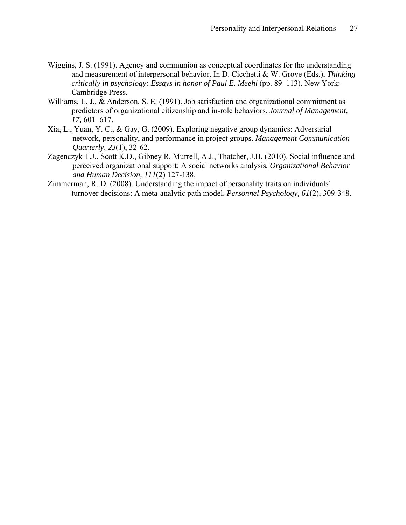- Wiggins, J. S. (1991). Agency and communion as conceptual coordinates for the understanding and measurement of interpersonal behavior. In D. Cicchetti & W. Grove (Eds.), *Thinking critically in psychology: Essays in honor of Paul E. Meehl* (pp. 89–113). New York: Cambridge Press.
- Williams, L. J., & Anderson, S. E. (1991). Job satisfaction and organizational commitment as predictors of organizational citizenship and in-role behaviors. *Journal of Management, 17,* 601–617.
- Xia, L., Yuan, Y. C., & Gay, G. (2009). Exploring negative group dynamics: Adversarial network, personality, and performance in project groups. *Management Communication Quarterly, 23*(1), 32-62.
- Zagenczyk T.J., Scott K.D., Gibney R, Murrell, A.J., Thatcher, J.B. (2010). Social influence and perceived organizational support: A social networks analysis*. Organizational Behavior and Human Decision, 111*(2) 127-138.
- Zimmerman, R. D. (2008). Understanding the impact of personality traits on individuals' turnover decisions: A meta-analytic path model. *Personnel Psychology, 61*(2), 309-348.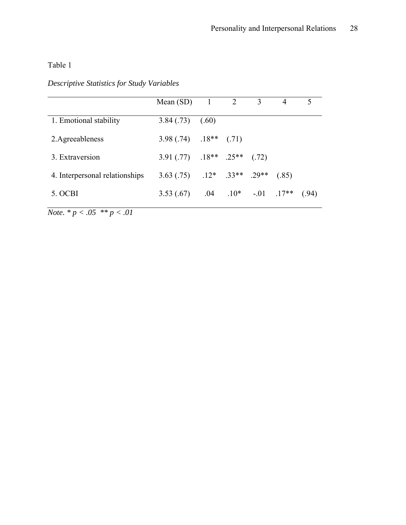# Table 1

# *Descriptive Statistics for Study Variables*

|                                | Mean $(SD)$ 1 2                           |                            | 3 | 4     |       |
|--------------------------------|-------------------------------------------|----------------------------|---|-------|-------|
| 1. Emotional stability         | $3.84(.73)$ (.60)                         |                            |   |       |       |
| 2. Agreeableness               | $3.98(.74)$ $.18**$ (.71)                 |                            |   |       |       |
| 3. Extraversion                | $3.91(.77)$ $.18**$ $.25**$ $(.72)$       |                            |   |       |       |
| 4. Interpersonal relationships | $3.63(.75)$ $.12^*$ $.33^{**}$ $.29^{**}$ |                            |   | (.85) |       |
| 5. OCBI                        | 3.53(.67)                                 | $.04$ $.10*$ $.01$ $.17**$ |   |       | (.94) |

*Note. \* p < .05 \*\* p < .01*